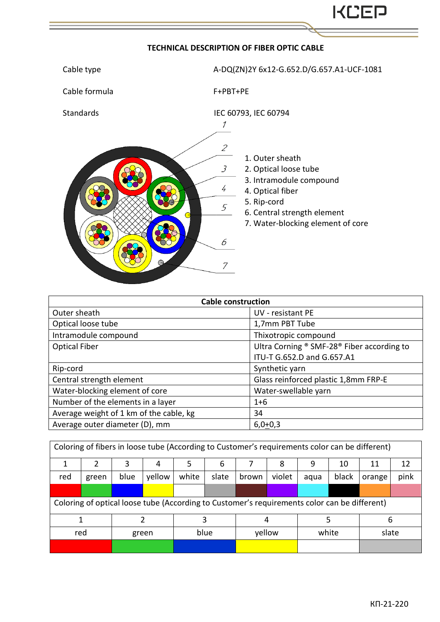## **TECHNICAL DESCRIPTION OF FIBER OPTIC CABLE**



| <b>Cable construction</b>               |                                            |  |  |  |  |  |
|-----------------------------------------|--------------------------------------------|--|--|--|--|--|
| Outer sheath                            | UV - resistant PE                          |  |  |  |  |  |
| Optical loose tube                      | 1,7mm PBT Tube                             |  |  |  |  |  |
| Intramodule compound                    | Thixotropic compound                       |  |  |  |  |  |
| <b>Optical Fiber</b>                    | Ultra Corning ® SMF-28® Fiber according to |  |  |  |  |  |
|                                         | ITU-T G.652.D and G.657.A1                 |  |  |  |  |  |
| Rip-cord                                | Synthetic yarn                             |  |  |  |  |  |
| Central strength element                | Glass reinforced plastic 1,8mm FRP-E       |  |  |  |  |  |
| Water-blocking element of core          | Water-swellable yarn                       |  |  |  |  |  |
| Number of the elements in a layer       | $1 + 6$                                    |  |  |  |  |  |
| Average weight of 1 km of the cable, kg | 34                                         |  |  |  |  |  |
| Average outer diameter (D), mm          | $6,0+0,3$                                  |  |  |  |  |  |

| Coloring of fibers in loose tube (According to Customer's requirements color can be different) |       |      |        |       |       |        |        |       |       |        |      |
|------------------------------------------------------------------------------------------------|-------|------|--------|-------|-------|--------|--------|-------|-------|--------|------|
|                                                                                                |       | 3    | 4      |       | 6     |        | 8      | q     | 10    | 11     | 12   |
| red                                                                                            | green | blue | yellow | white | slate | brown  | violet | aqua  | black | orange | pink |
|                                                                                                |       |      |        |       |       |        |        |       |       |        |      |
| Coloring of optical loose tube (According to Customer's requirements color can be different)   |       |      |        |       |       |        |        |       |       |        |      |
|                                                                                                |       |      |        |       |       |        |        |       |       | 6      |      |
| red                                                                                            |       |      | green  | blue  |       | yellow |        | white |       | slate  |      |
|                                                                                                |       |      |        |       |       |        |        |       |       |        |      |